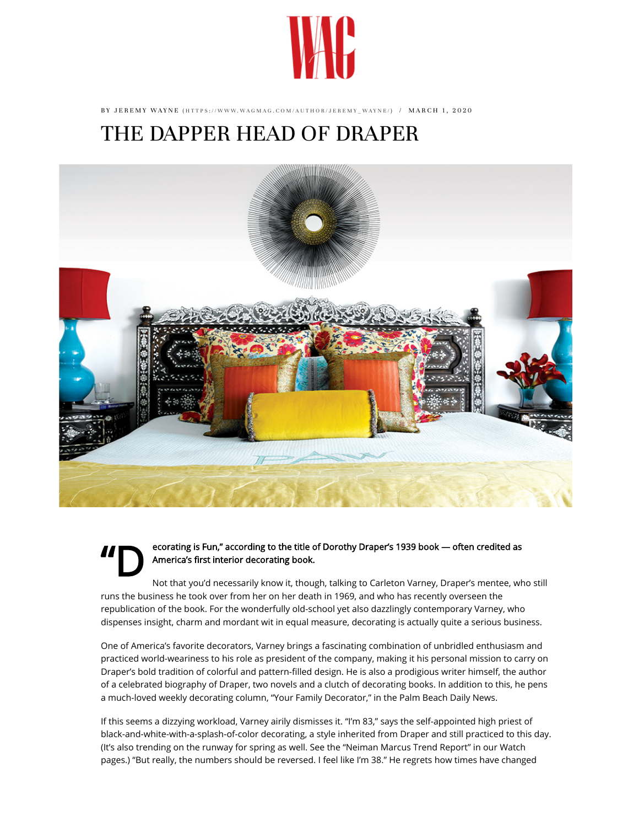

BY JEREMY WAYNE (HTTPS://WWW.WAGMAG.COM/AUTHOR/JEREMY\_WAYNE/) / MARCH 1, 2020

## T[HE DAPPER HEAD OF DRAPE](https://www.wagmag.com/author/jeremy_wayne/)R



ecorating is Fun," according to the title of Dorothy Draper's 1939 book — often credited as America's first interior decorating book.

Not that you'd necessarily know it, though, talking to Carleton Varney, Draper's mentee, who still runs the business he took over from her on her death in 1969, and who has recently overseen the republication of the book. For the wonderfully old-school yet also dazzlingly contemporary Varney, who dispenses insight, charm and mordant wit in equal measure, decorating is actually quite a serious business.

One of America's favorite decorators, Varney brings a fascinating combination of unbridled enthusiasm and practiced world-weariness to his role as president of the company, making it his personal mission to carry on Draper's bold tradition of colorful and pattern-filled design. He is also a prodigious writer himself, the author of a celebrated biography of Draper, two novels and a clutch of decorating books. In addition to this, he pens a much-loved weekly decorating column, "Your Family Decorator," in the Palm Beach Daily News.

If this seems a dizzying workload, Varney airily dismisses it. "I'm 83," says the self-appointed high priest of black-and-white-with-a-splash-of-color decorating, a style inherited from Draper and still practiced to this day. (It's also trending on the runway for spring as well. See the "Neiman Marcus Trend Report" in our Watch pages.) "But really, the numbers should be reversed. I feel like I'm 38." He regrets how times have changed